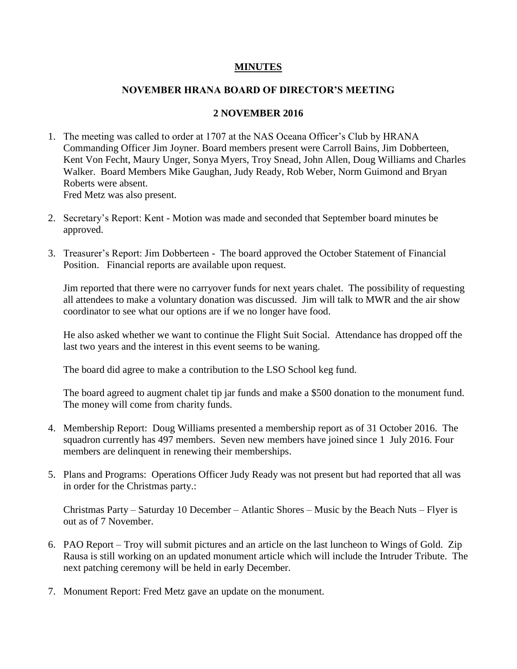## **MINUTES**

## **NOVEMBER HRANA BOARD OF DIRECTOR'S MEETING**

## **2 NOVEMBER 2016**

- 1. The meeting was called to order at 1707 at the NAS Oceana Officer's Club by HRANA Commanding Officer Jim Joyner. Board members present were Carroll Bains, Jim Dobberteen, Kent Von Fecht, Maury Unger, Sonya Myers, Troy Snead, John Allen, Doug Williams and Charles Walker. Board Members Mike Gaughan, Judy Ready, Rob Weber, Norm Guimond and Bryan Roberts were absent. Fred Metz was also present.
- 2. Secretary's Report: Kent Motion was made and seconded that September board minutes be approved.
- 3. Treasurer's Report: Jim Dobberteen The board approved the October Statement of Financial Position. Financial reports are available upon request.

Jim reported that there were no carryover funds for next years chalet. The possibility of requesting all attendees to make a voluntary donation was discussed. Jim will talk to MWR and the air show coordinator to see what our options are if we no longer have food.

He also asked whether we want to continue the Flight Suit Social. Attendance has dropped off the last two years and the interest in this event seems to be waning.

The board did agree to make a contribution to the LSO School keg fund.

The board agreed to augment chalet tip jar funds and make a \$500 donation to the monument fund. The money will come from charity funds.

- 4. Membership Report: Doug Williams presented a membership report as of 31 October 2016. The squadron currently has 497 members. Seven new members have joined since 1 July 2016. Four members are delinquent in renewing their memberships.
- 5. Plans and Programs: Operations Officer Judy Ready was not present but had reported that all was in order for the Christmas party.:

Christmas Party – Saturday 10 December – Atlantic Shores – Music by the Beach Nuts – Flyer is out as of 7 November.

- 6. PAO Report Troy will submit pictures and an article on the last luncheon to Wings of Gold. Zip Rausa is still working on an updated monument article which will include the Intruder Tribute. The next patching ceremony will be held in early December.
- 7. Monument Report: Fred Metz gave an update on the monument.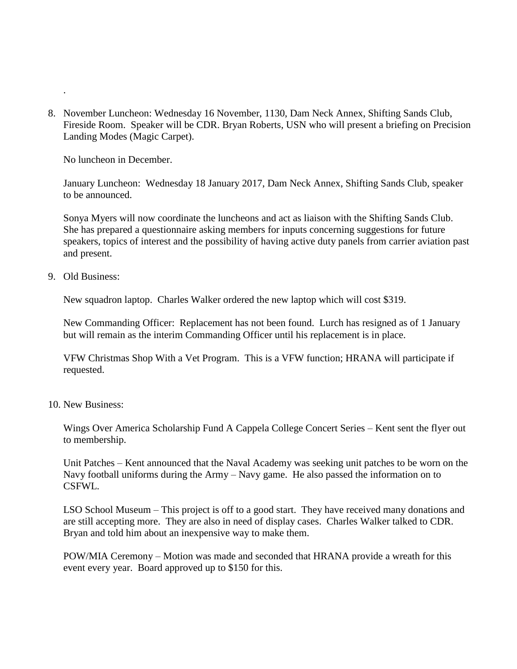8. November Luncheon: Wednesday 16 November, 1130, Dam Neck Annex, Shifting Sands Club, Fireside Room. Speaker will be CDR. Bryan Roberts, USN who will present a briefing on Precision Landing Modes (Magic Carpet).

No luncheon in December.

January Luncheon: Wednesday 18 January 2017, Dam Neck Annex, Shifting Sands Club, speaker to be announced.

Sonya Myers will now coordinate the luncheons and act as liaison with the Shifting Sands Club. She has prepared a questionnaire asking members for inputs concerning suggestions for future speakers, topics of interest and the possibility of having active duty panels from carrier aviation past and present.

9. Old Business:

.

New squadron laptop. Charles Walker ordered the new laptop which will cost \$319.

New Commanding Officer: Replacement has not been found. Lurch has resigned as of 1 January but will remain as the interim Commanding Officer until his replacement is in place.

VFW Christmas Shop With a Vet Program. This is a VFW function; HRANA will participate if requested.

10. New Business:

Wings Over America Scholarship Fund A Cappela College Concert Series – Kent sent the flyer out to membership.

Unit Patches – Kent announced that the Naval Academy was seeking unit patches to be worn on the Navy football uniforms during the Army – Navy game. He also passed the information on to CSFWL.

LSO School Museum – This project is off to a good start. They have received many donations and are still accepting more. They are also in need of display cases. Charles Walker talked to CDR. Bryan and told him about an inexpensive way to make them.

POW/MIA Ceremony – Motion was made and seconded that HRANA provide a wreath for this event every year. Board approved up to \$150 for this.